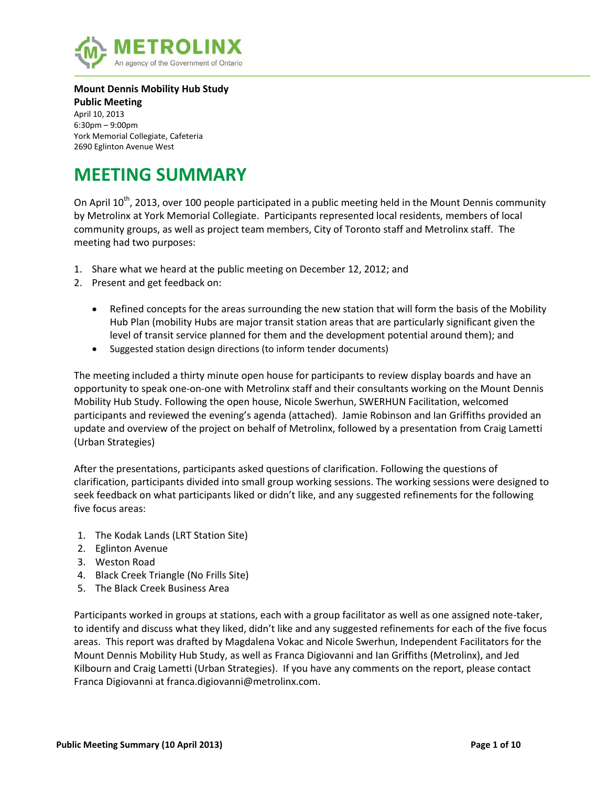

#### **Mount Dennis Mobility Hub Study**

**Public Meeting** April 10, 2013 6:30pm – 9:00pm York Memorial Collegiate, Cafeteria 2690 Eglinton Avenue West

# **MEETING SUMMARY**

On April 10<sup>th</sup>, 2013, over 100 people participated in a public meeting held in the Mount Dennis community by Metrolinx at York Memorial Collegiate. Participants represented local residents, members of local community groups, as well as project team members, City of Toronto staff and Metrolinx staff. The meeting had two purposes:

- 1. Share what we heard at the public meeting on December 12, 2012; and
- 2. Present and get feedback on:
	- Refined concepts for the areas surrounding the new station that will form the basis of the Mobility Hub Plan (mobility Hubs are major transit station areas that are particularly significant given the level of transit service planned for them and the development potential around them); and
	- Suggested station design directions (to inform tender documents)

The meeting included a thirty minute open house for participants to review display boards and have an opportunity to speak one-on-one with Metrolinx staff and their consultants working on the Mount Dennis Mobility Hub Study. Following the open house, Nicole Swerhun, SWERHUN Facilitation, welcomed participants and reviewed the evening's agenda (attached). Jamie Robinson and Ian Griffiths provided an update and overview of the project on behalf of Metrolinx, followed by a presentation from Craig Lametti (Urban Strategies)

After the presentations, participants asked questions of clarification. Following the questions of clarification, participants divided into small group working sessions. The working sessions were designed to seek feedback on what participants liked or didn't like, and any suggested refinements for the following five focus areas:

- 1. The Kodak Lands (LRT Station Site)
- 2. Eglinton Avenue
- 3. Weston Road
- 4. Black Creek Triangle (No Frills Site)
- 5. The Black Creek Business Area

Participants worked in groups at stations, each with a group facilitator as well as one assigned note-taker, to identify and discuss what they liked, didn't like and any suggested refinements for each of the five focus areas. This report was drafted by Magdalena Vokac and Nicole Swerhun, Independent Facilitators for the Mount Dennis Mobility Hub Study, as well as Franca Digiovanni and Ian Griffiths (Metrolinx), and Jed Kilbourn and Craig Lametti (Urban Strategies). If you have any comments on the report, please contact Franca Digiovanni at franca.digiovanni@metrolinx.com.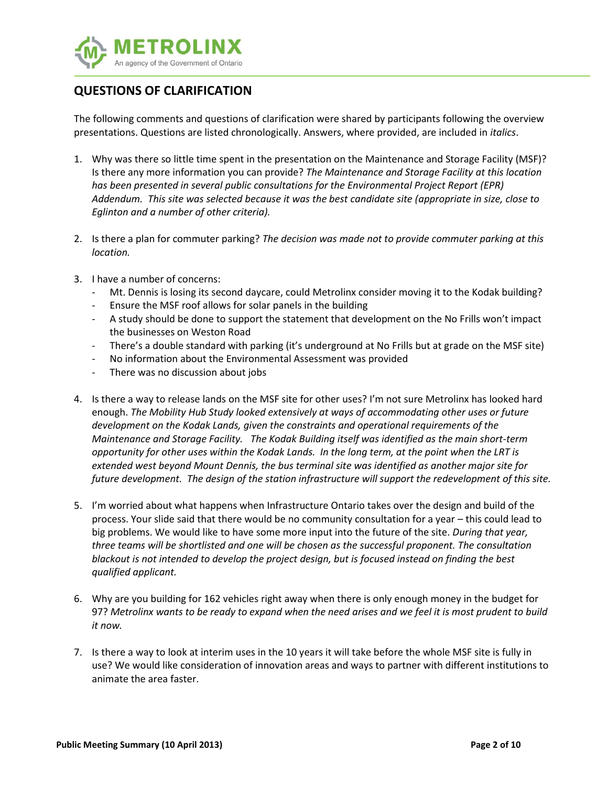

# **QUESTIONS OF CLARIFICATION**

The following comments and questions of clarification were shared by participants following the overview presentations. Questions are listed chronologically. Answers, where provided, are included in *italics*.

- 1. Why was there so little time spent in the presentation on the Maintenance and Storage Facility (MSF)? Is there any more information you can provide? *The Maintenance and Storage Facility at this location has been presented in several public consultations for the Environmental Project Report (EPR) Addendum. This site was selected because it was the best candidate site (appropriate in size, close to Eglinton and a number of other criteria).*
- 2. Is there a plan for commuter parking? *The decision was made not to provide commuter parking at this location.*
- 3. I have a number of concerns:
	- Mt. Dennis is losing its second daycare, could Metrolinx consider moving it to the Kodak building?
	- Ensure the MSF roof allows for solar panels in the building
	- A study should be done to support the statement that development on the No Frills won't impact the businesses on Weston Road
	- There's a double standard with parking (it's underground at No Frills but at grade on the MSF site)
	- No information about the Environmental Assessment was provided
	- There was no discussion about jobs
- 4. Is there a way to release lands on the MSF site for other uses? I'm not sure Metrolinx has looked hard enough. *The Mobility Hub Study looked extensively at ways of accommodating other uses or future development on the Kodak Lands, given the constraints and operational requirements of the Maintenance and Storage Facility. The Kodak Building itself was identified as the main short-term opportunity for other uses within the Kodak Lands. In the long term, at the point when the LRT is extended west beyond Mount Dennis, the bus terminal site was identified as another major site for future development. The design of the station infrastructure will support the redevelopment of this site.*
- 5. I'm worried about what happens when Infrastructure Ontario takes over the design and build of the process. Your slide said that there would be no community consultation for a year – this could lead to big problems. We would like to have some more input into the future of the site. *During that year, three teams will be shortlisted and one will be chosen as the successful proponent. The consultation blackout is not intended to develop the project design, but is focused instead on finding the best qualified applicant.*
- 6. Why are you building for 162 vehicles right away when there is only enough money in the budget for 97? *Metrolinx wants to be ready to expand when the need arises and we feel it is most prudent to build it now.*
- 7. Is there a way to look at interim uses in the 10 years it will take before the whole MSF site is fully in use? We would like consideration of innovation areas and ways to partner with different institutions to animate the area faster.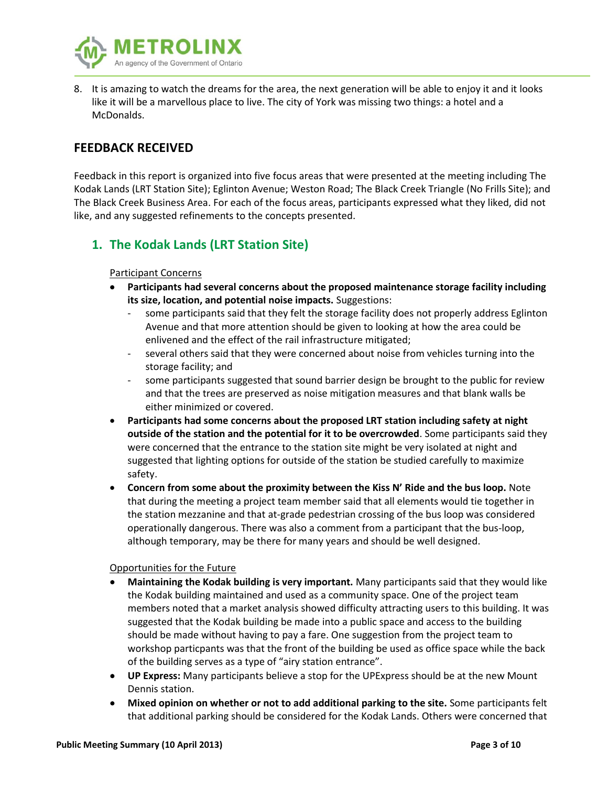

8. It is amazing to watch the dreams for the area, the next generation will be able to enjoy it and it looks like it will be a marvellous place to live. The city of York was missing two things: a hotel and a McDonalds.

# **FEEDBACK RECEIVED**

Feedback in this report is organized into five focus areas that were presented at the meeting including The Kodak Lands (LRT Station Site); Eglinton Avenue; Weston Road; The Black Creek Triangle (No Frills Site); and The Black Creek Business Area. For each of the focus areas, participants expressed what they liked, did not like, and any suggested refinements to the concepts presented.

# **1. The Kodak Lands (LRT Station Site)**

### Participant Concerns

- **Participants had several concerns about the proposed maintenance storage facility including its size, location, and potential noise impacts.** Suggestions:
	- some participants said that they felt the storage facility does not properly address Eglinton Avenue and that more attention should be given to looking at how the area could be enlivened and the effect of the rail infrastructure mitigated;
	- several others said that they were concerned about noise from vehicles turning into the storage facility; and
	- some participants suggested that sound barrier design be brought to the public for review and that the trees are preserved as noise mitigation measures and that blank walls be either minimized or covered.
- **Participants had some concerns about the proposed LRT station including safety at night outside of the station and the potential for it to be overcrowded**. Some participants said they were concerned that the entrance to the station site might be very isolated at night and suggested that lighting options for outside of the station be studied carefully to maximize safety.
- **Concern from some about the proximity between the Kiss N' Ride and the bus loop.** Note that during the meeting a project team member said that all elements would tie together in the station mezzanine and that at-grade pedestrian crossing of the bus loop was considered operationally dangerous. There was also a comment from a participant that the bus-loop, although temporary, may be there for many years and should be well designed.

#### Opportunities for the Future

- **Maintaining the Kodak building is very important.** Many participants said that they would like the Kodak building maintained and used as a community space. One of the project team members noted that a market analysis showed difficulty attracting users to this building. It was suggested that the Kodak building be made into a public space and access to the building should be made without having to pay a fare. One suggestion from the project team to workshop particpants was that the front of the building be used as office space while the back of the building serves as a type of "airy station entrance".
- **UP Express:** Many participants believe a stop for the UPExpress should be at the new Mount Dennis station.
- **Mixed opinion on whether or not to add additional parking to the site.** Some participants felt that additional parking should be considered for the Kodak Lands. Others were concerned that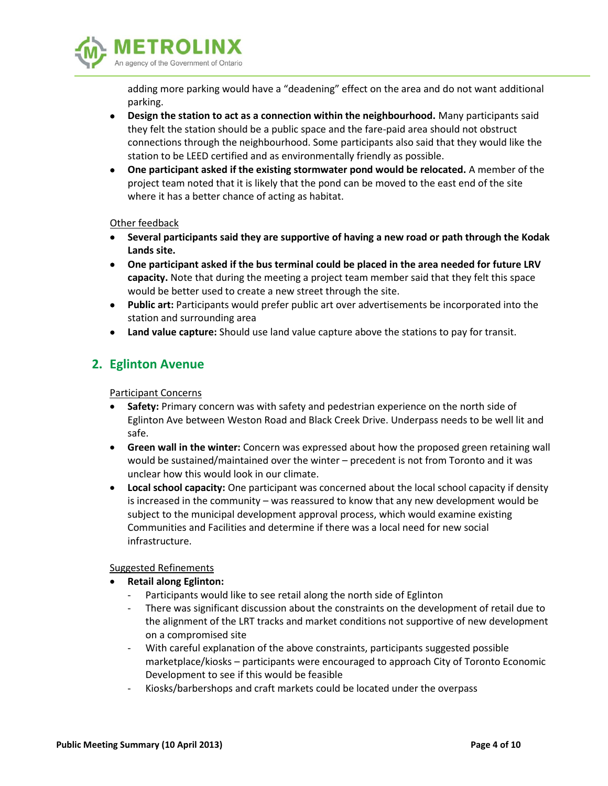

adding more parking would have a "deadening" effect on the area and do not want additional parking.

- **Design the station to act as a connection within the neighbourhood.** Many participants said they felt the station should be a public space and the fare-paid area should not obstruct connections through the neighbourhood. Some participants also said that they would like the station to be LEED certified and as environmentally friendly as possible.
- **One participant asked if the existing stormwater pond would be relocated.** A member of the project team noted that it is likely that the pond can be moved to the east end of the site where it has a better chance of acting as habitat.

Other feedback

- **Several participants said they are supportive of having a new road or path through the Kodak Lands site.**
- **One participant asked if the bus terminal could be placed in the area needed for future LRV capacity.** Note that during the meeting a project team member said that they felt this space would be better used to create a new street through the site.
- **Public art:** Participants would prefer public art over advertisements be incorporated into the station and surrounding area
- **Land value capture:** Should use land value capture above the stations to pay for transit.

# **2. Eglinton Avenue**

### Participant Concerns

- **Safety:** Primary concern was with safety and pedestrian experience on the north side of Eglinton Ave between Weston Road and Black Creek Drive. Underpass needs to be well lit and safe.
- **Green wall in the winter:** Concern was expressed about how the proposed green retaining wall would be sustained/maintained over the winter – precedent is not from Toronto and it was unclear how this would look in our climate.
- **Local school capacity:** One participant was concerned about the local school capacity if density is increased in the community – was reassured to know that any new development would be subject to the municipal development approval process, which would examine existing Communities and Facilities and determine if there was a local need for new social infrastructure.

#### Suggested Refinements

- **Retail along Eglinton:**
	- Participants would like to see retail along the north side of Eglinton
	- There was significant discussion about the constraints on the development of retail due to the alignment of the LRT tracks and market conditions not supportive of new development on a compromised site
	- With careful explanation of the above constraints, participants suggested possible marketplace/kiosks – participants were encouraged to approach City of Toronto Economic Development to see if this would be feasible
	- Kiosks/barbershops and craft markets could be located under the overpass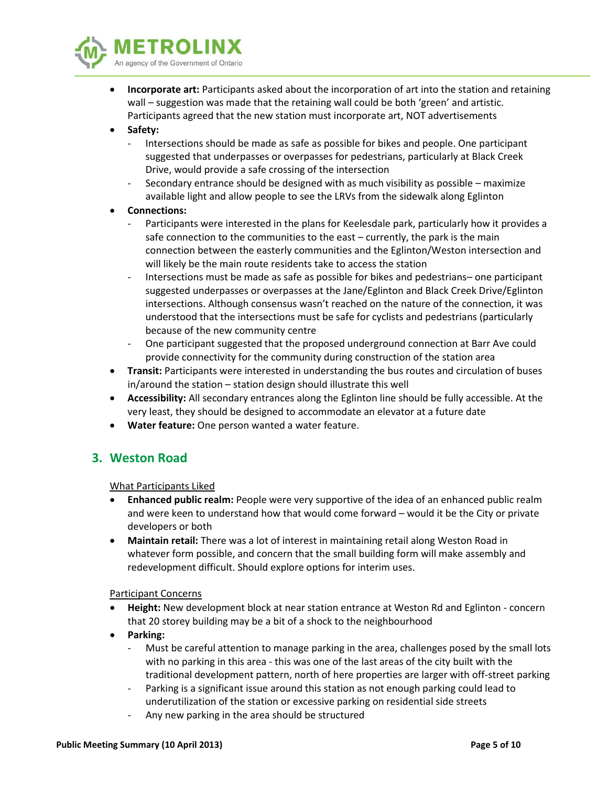

- **Incorporate art:** Participants asked about the incorporation of art into the station and retaining wall – suggestion was made that the retaining wall could be both 'green' and artistic. Participants agreed that the new station must incorporate art, NOT advertisements
- **Safety:**
	- Intersections should be made as safe as possible for bikes and people. One participant suggested that underpasses or overpasses for pedestrians, particularly at Black Creek Drive, would provide a safe crossing of the intersection
	- Secondary entrance should be designed with as much visibility as possible maximize available light and allow people to see the LRVs from the sidewalk along Eglinton
- **Connections:**
	- Participants were interested in the plans for Keelesdale park, particularly how it provides a safe connection to the communities to the east – currently, the park is the main connection between the easterly communities and the Eglinton/Weston intersection and will likely be the main route residents take to access the station
	- Intersections must be made as safe as possible for bikes and pedestrians– one participant suggested underpasses or overpasses at the Jane/Eglinton and Black Creek Drive/Eglinton intersections. Although consensus wasn't reached on the nature of the connection, it was understood that the intersections must be safe for cyclists and pedestrians (particularly because of the new community centre
	- One participant suggested that the proposed underground connection at Barr Ave could provide connectivity for the community during construction of the station area
- **Transit:** Participants were interested in understanding the bus routes and circulation of buses in/around the station – station design should illustrate this well
- **Accessibility:** All secondary entrances along the Eglinton line should be fully accessible. At the very least, they should be designed to accommodate an elevator at a future date
- **Water feature:** One person wanted a water feature.

# **3. Weston Road**

#### What Participants Liked

- **Enhanced public realm:** People were very supportive of the idea of an enhanced public realm and were keen to understand how that would come forward – would it be the City or private developers or both
- **Maintain retail:** There was a lot of interest in maintaining retail along Weston Road in whatever form possible, and concern that the small building form will make assembly and redevelopment difficult. Should explore options for interim uses.

#### Participant Concerns

- **Height:** New development block at near station entrance at Weston Rd and Eglinton concern that 20 storey building may be a bit of a shock to the neighbourhood
- **Parking:**
	- Must be careful attention to manage parking in the area, challenges posed by the small lots with no parking in this area - this was one of the last areas of the city built with the traditional development pattern, north of here properties are larger with off-street parking
	- Parking is a significant issue around this station as not enough parking could lead to underutilization of the station or excessive parking on residential side streets
	- Any new parking in the area should be structured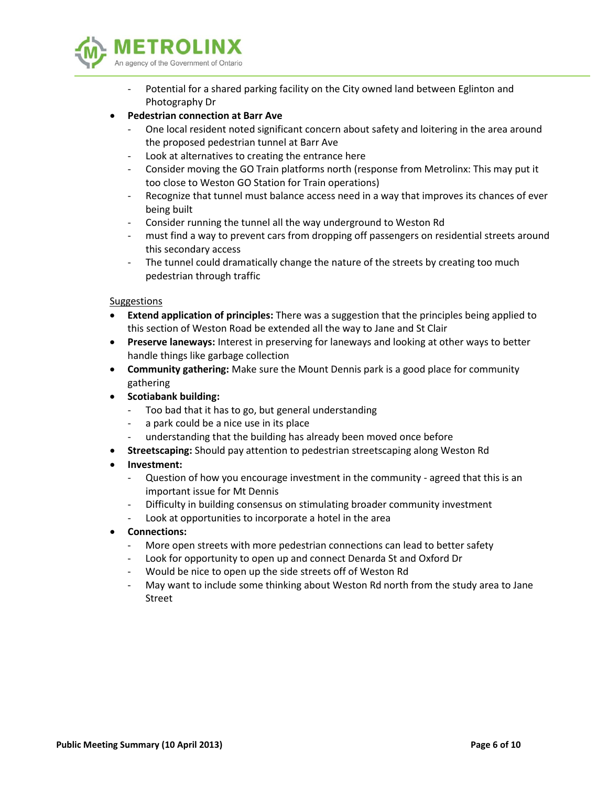

- Potential for a shared parking facility on the City owned land between Eglinton and Photography Dr
- **Pedestrian connection at Barr Ave**
	- One local resident noted significant concern about safety and loitering in the area around the proposed pedestrian tunnel at Barr Ave
	- Look at alternatives to creating the entrance here
	- Consider moving the GO Train platforms north (response from Metrolinx: This may put it too close to Weston GO Station for Train operations)
	- Recognize that tunnel must balance access need in a way that improves its chances of ever being built
	- Consider running the tunnel all the way underground to Weston Rd
	- must find a way to prevent cars from dropping off passengers on residential streets around this secondary access
	- The tunnel could dramatically change the nature of the streets by creating too much pedestrian through traffic

#### Suggestions

- **Extend application of principles:** There was a suggestion that the principles being applied to this section of Weston Road be extended all the way to Jane and St Clair
- **Preserve laneways:** Interest in preserving for laneways and looking at other ways to better handle things like garbage collection
- **Community gathering:** Make sure the Mount Dennis park is a good place for community gathering
- **•** Scotiabank building:
	- Too bad that it has to go, but general understanding
	- a park could be a nice use in its place
	- understanding that the building has already been moved once before
- **Streetscaping:** Should pay attention to pedestrian streetscaping along Weston Rd
- **Investment:**
	- Question of how you encourage investment in the community agreed that this is an important issue for Mt Dennis
	- Difficulty in building consensus on stimulating broader community investment
	- Look at opportunities to incorporate a hotel in the area
- **Connections:** 
	- More open streets with more pedestrian connections can lead to better safety
	- Look for opportunity to open up and connect Denarda St and Oxford Dr
	- Would be nice to open up the side streets off of Weston Rd
	- May want to include some thinking about Weston Rd north from the study area to Jane Street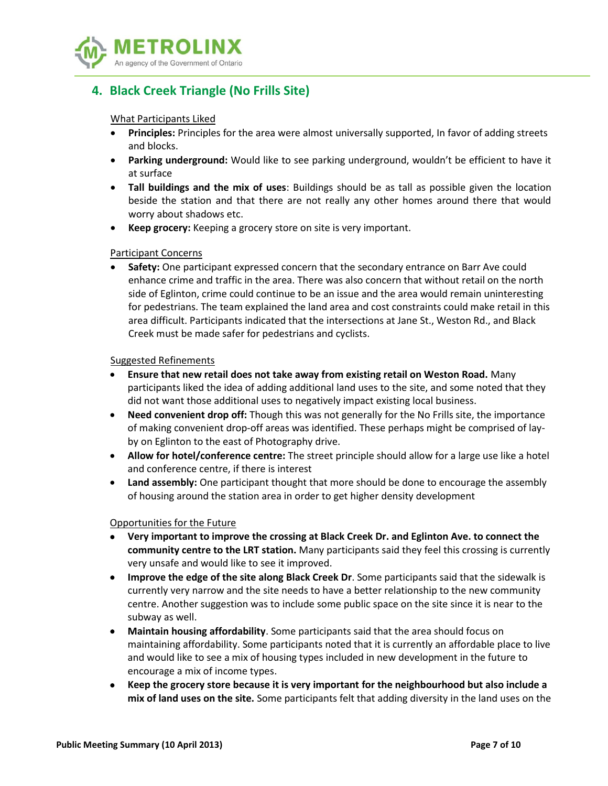

# **4. Black Creek Triangle (No Frills Site)**

What Participants Liked

- **Principles:** Principles for the area were almost universally supported, In favor of adding streets and blocks.
- **Parking underground:** Would like to see parking underground, wouldn't be efficient to have it at surface
- **Tall buildings and the mix of uses**: Buildings should be as tall as possible given the location beside the station and that there are not really any other homes around there that would worry about shadows etc.
- **Keep grocery:** Keeping a grocery store on site is very important.

#### Participant Concerns

 **Safety:** One participant expressed concern that the secondary entrance on Barr Ave could enhance crime and traffic in the area. There was also concern that without retail on the north side of Eglinton, crime could continue to be an issue and the area would remain uninteresting for pedestrians. The team explained the land area and cost constraints could make retail in this area difficult. Participants indicated that the intersections at Jane St., Weston Rd., and Black Creek must be made safer for pedestrians and cyclists.

#### Suggested Refinements

- **Ensure that new retail does not take away from existing retail on Weston Road.** Many participants liked the idea of adding additional land uses to the site, and some noted that they did not want those additional uses to negatively impact existing local business.
- **Need convenient drop off:** Though this was not generally for the No Frills site, the importance of making convenient drop-off areas was identified. These perhaps might be comprised of layby on Eglinton to the east of Photography drive.
- **Allow for hotel/conference centre:** The street principle should allow for a large use like a hotel and conference centre, if there is interest
- **Land assembly:** One participant thought that more should be done to encourage the assembly of housing around the station area in order to get higher density development

#### Opportunities for the Future

- **Very important to improve the crossing at Black Creek Dr. and Eglinton Ave. to connect the community centre to the LRT station.** Many participants said they feel this crossing is currently very unsafe and would like to see it improved.
- **Improve the edge of the site along Black Creek Dr**. Some participants said that the sidewalk is currently very narrow and the site needs to have a better relationship to the new community centre. Another suggestion was to include some public space on the site since it is near to the subway as well.
- **Maintain housing affordability**. Some participants said that the area should focus on maintaining affordability. Some participants noted that it is currently an affordable place to live and would like to see a mix of housing types included in new development in the future to encourage a mix of income types.
- **Keep the grocery store because it is very important for the neighbourhood but also include a mix of land uses on the site.** Some participants felt that adding diversity in the land uses on the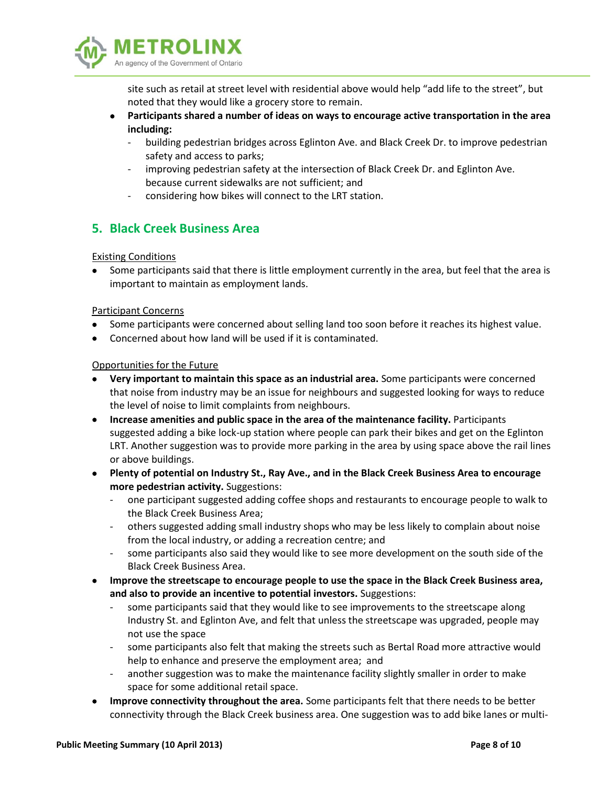

site such as retail at street level with residential above would help "add life to the street", but noted that they would like a grocery store to remain.

- **Participants shared a number of ideas on ways to encourage active transportation in the area including:**
	- building pedestrian bridges across Eglinton Ave. and Black Creek Dr. to improve pedestrian safety and access to parks;
	- improving pedestrian safety at the intersection of Black Creek Dr. and Eglinton Ave. because current sidewalks are not sufficient; and
	- considering how bikes will connect to the LRT station.

# **5. Black Creek Business Area**

### Existing Conditions

 Some participants said that there is little employment currently in the area, but feel that the area is important to maintain as employment lands.

### Participant Concerns

- Some participants were concerned about selling land too soon before it reaches its highest value.
- Concerned about how land will be used if it is contaminated.

#### Opportunities for the Future

- **Very important to maintain this space as an industrial area.** Some participants were concerned that noise from industry may be an issue for neighbours and suggested looking for ways to reduce the level of noise to limit complaints from neighbours.
- **•** Increase amenities and public space in the area of the maintenance facility. Participants suggested adding a bike lock-up station where people can park their bikes and get on the Eglinton LRT. Another suggestion was to provide more parking in the area by using space above the rail lines or above buildings.
- **Plenty of potential on Industry St., Ray Ave., and in the Black Creek Business Area to encourage more pedestrian activity.** Suggestions:
	- one participant suggested adding coffee shops and restaurants to encourage people to walk to the Black Creek Business Area;
	- others suggested adding small industry shops who may be less likely to complain about noise from the local industry, or adding a recreation centre; and
	- some participants also said they would like to see more development on the south side of the Black Creek Business Area.
- **Improve the streetscape to encourage people to use the space in the Black Creek Business area, and also to provide an incentive to potential investors.** Suggestions:
	- some participants said that they would like to see improvements to the streetscape along Industry St. and Eglinton Ave, and felt that unless the streetscape was upgraded, people may not use the space
	- some participants also felt that making the streets such as Bertal Road more attractive would help to enhance and preserve the employment area; and
	- another suggestion was to make the maintenance facility slightly smaller in order to make space for some additional retail space.
- **Improve connectivity throughout the area.** Some participants felt that there needs to be better connectivity through the Black Creek business area. One suggestion was to add bike lanes or multi-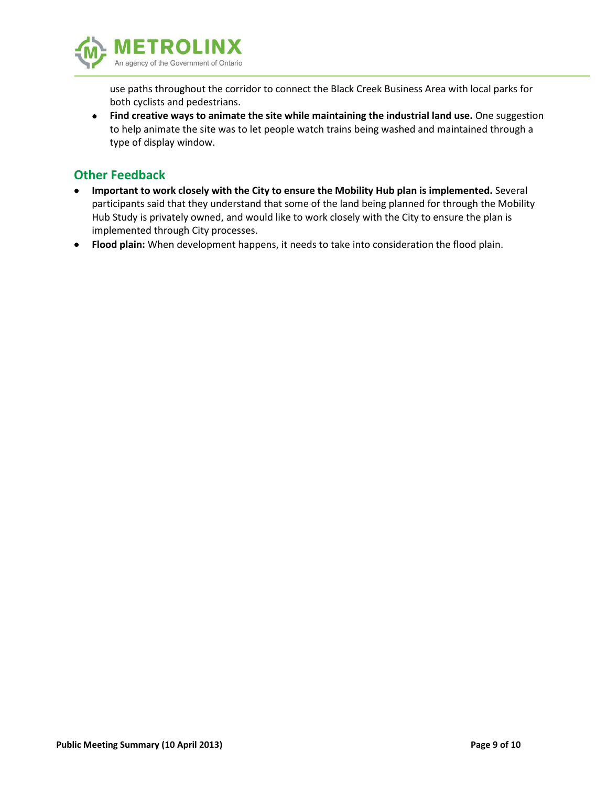

use paths throughout the corridor to connect the Black Creek Business Area with local parks for both cyclists and pedestrians.

 **Find creative ways to animate the site while maintaining the industrial land use.** One suggestion to help animate the site was to let people watch trains being washed and maintained through a type of display window.

# **Other Feedback**

- **Important to work closely with the City to ensure the Mobility Hub plan is implemented.** Several participants said that they understand that some of the land being planned for through the Mobility Hub Study is privately owned, and would like to work closely with the City to ensure the plan is implemented through City processes.
- **Flood plain:** When development happens, it needs to take into consideration the flood plain.